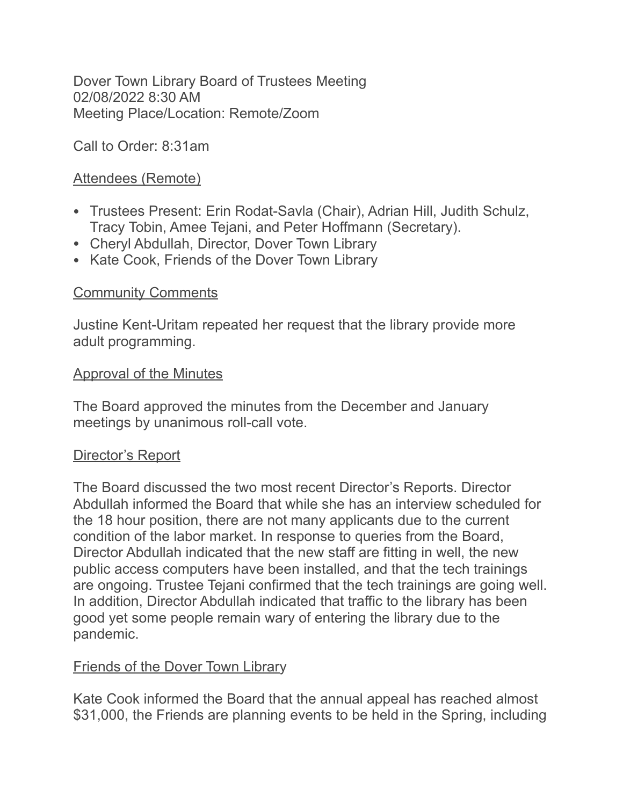Dover Town Library Board of Trustees Meeting 02/08/2022 8:30 AM Meeting Place/Location: Remote/Zoom

Call to Order: 8:31am

# Attendees (Remote)

- Trustees Present: Erin Rodat-Savla (Chair), Adrian Hill, Judith Schulz, Tracy Tobin, Amee Tejani, and Peter Hoffmann (Secretary).
- Cheryl Abdullah, Director, Dover Town Library
- Kate Cook, Friends of the Dover Town Library

# **Community Comments**

Justine Kent-Uritam repeated her request that the library provide more adult programming.

## Approval of the Minutes

The Board approved the minutes from the December and January meetings by unanimous roll-call vote.

## Director's Report

The Board discussed the two most recent Director's Reports. Director Abdullah informed the Board that while she has an interview scheduled for the 18 hour position, there are not many applicants due to the current condition of the labor market. In response to queries from the Board, Director Abdullah indicated that the new staff are fitting in well, the new public access computers have been installed, and that the tech trainings are ongoing. Trustee Tejani confirmed that the tech trainings are going well. In addition, Director Abdullah indicated that traffic to the library has been good yet some people remain wary of entering the library due to the pandemic.

# Friends of the Dover Town Library

Kate Cook informed the Board that the annual appeal has reached almost \$31,000, the Friends are planning events to be held in the Spring, including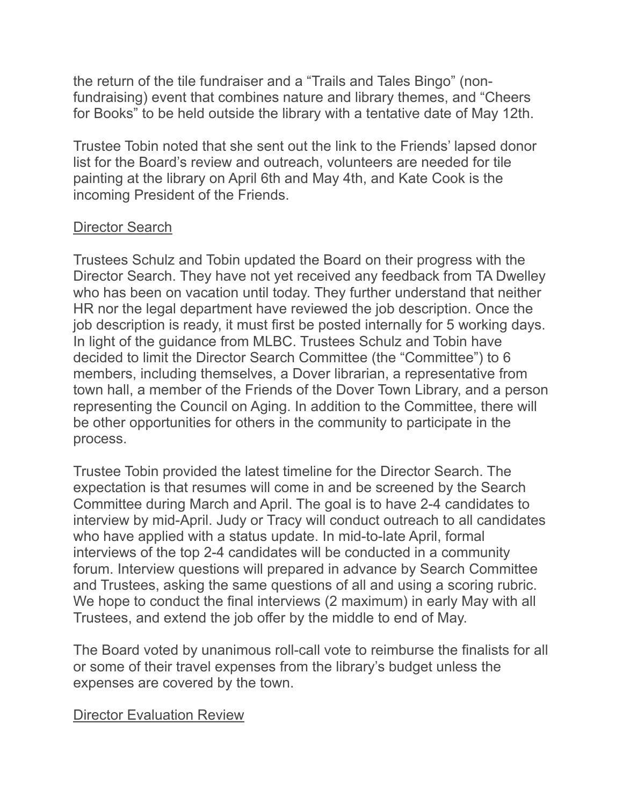the return of the tile fundraiser and a "Trails and Tales Bingo" (nonfundraising) event that combines nature and library themes, and "Cheers for Books" to be held outside the library with a tentative date of May 12th.

Trustee Tobin noted that she sent out the link to the Friends' lapsed donor list for the Board's review and outreach, volunteers are needed for tile painting at the library on April 6th and May 4th, and Kate Cook is the incoming President of the Friends.

# Director Search

Trustees Schulz and Tobin updated the Board on their progress with the Director Search. They have not yet received any feedback from TA Dwelley who has been on vacation until today. They further understand that neither HR nor the legal department have reviewed the job description. Once the job description is ready, it must first be posted internally for 5 working days. In light of the guidance from MLBC. Trustees Schulz and Tobin have decided to limit the Director Search Committee (the "Committee") to 6 members, including themselves, a Dover librarian, a representative from town hall, a member of the Friends of the Dover Town Library, and a person representing the Council on Aging. In addition to the Committee, there will be other opportunities for others in the community to participate in the process.

Trustee Tobin provided the latest timeline for the Director Search. The expectation is that resumes will come in and be screened by the Search Committee during March and April. The goal is to have 2-4 candidates to interview by mid-April. Judy or Tracy will conduct outreach to all candidates who have applied with a status update. In mid-to-late April, formal interviews of the top 2-4 candidates will be conducted in a community forum. Interview questions will prepared in advance by Search Committee and Trustees, asking the same questions of all and using a scoring rubric. We hope to conduct the final interviews (2 maximum) in early May with all Trustees, and extend the job offer by the middle to end of May.

The Board voted by unanimous roll-call vote to reimburse the finalists for all or some of their travel expenses from the library's budget unless the expenses are covered by the town.

### Director Evaluation Review